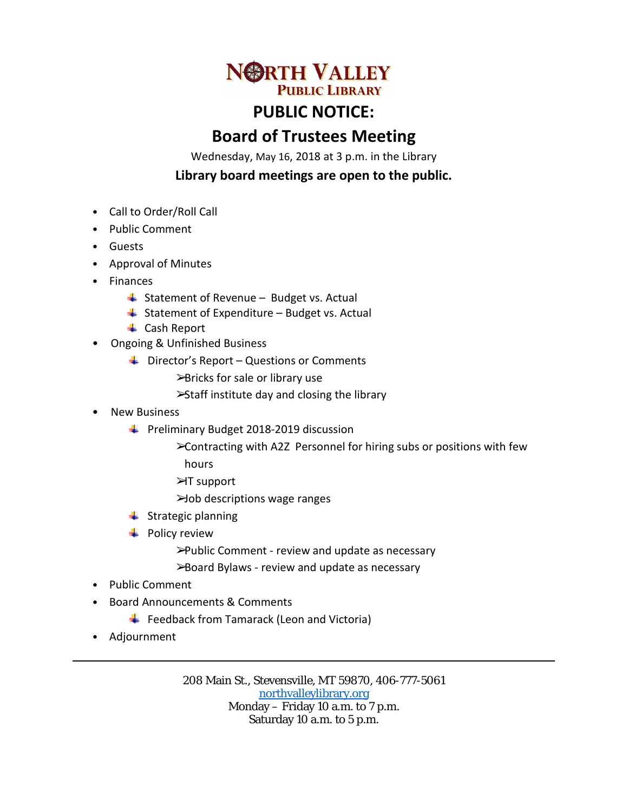

## **PUBLIC NOTICE:**

## **Board of Trustees Meeting**

Wednesday, May 16, 2018 at 3 p.m. in the Library

## **Library board meetings are open to the public.**

- Call to Order/Roll Call
- Public Comment
- Guests
- Approval of Minutes
- Finances
	- $\overline{\phantom{a}}$  Statement of Revenue Budget vs. Actual
	- $\ddot{ }$  Statement of Expenditure Budget vs. Actual
	- **↓** Cash Report
- Ongoing & Unfinished Business
	- $\overline{\phantom{a} \bullet}$  Director's Report Questions or Comments ➢Bricks for sale or library use
		- ➢Staff institute day and closing the library
- New Business
	- **Preliminary Budget 2018-2019 discussion** 
		- ➢Contracting with A2Z Personnel for hiring subs or positions with few hours
		- ➢IT support
		- ➢Job descriptions wage ranges
	- $\frac{1}{\sqrt{2}}$  Strategic planning
	- $\leftarrow$  Policy review
		- ➢Public Comment review and update as necessary
		- ➢Board Bylaws review and update as necessary
- Public Comment
- Board Announcements & Comments
	- $\overline{\phantom{a}}$  Feedback from Tamarack (Leon and Victoria)
- Adjournment

208 Main St., Stevensville, MT 59870, 406-777-5061 [northvalleylibrary.org](http://www.northvalleylibrary.org/) Monday – Friday 10 a.m. to 7 p.m. Saturday 10 a.m. to 5 p.m.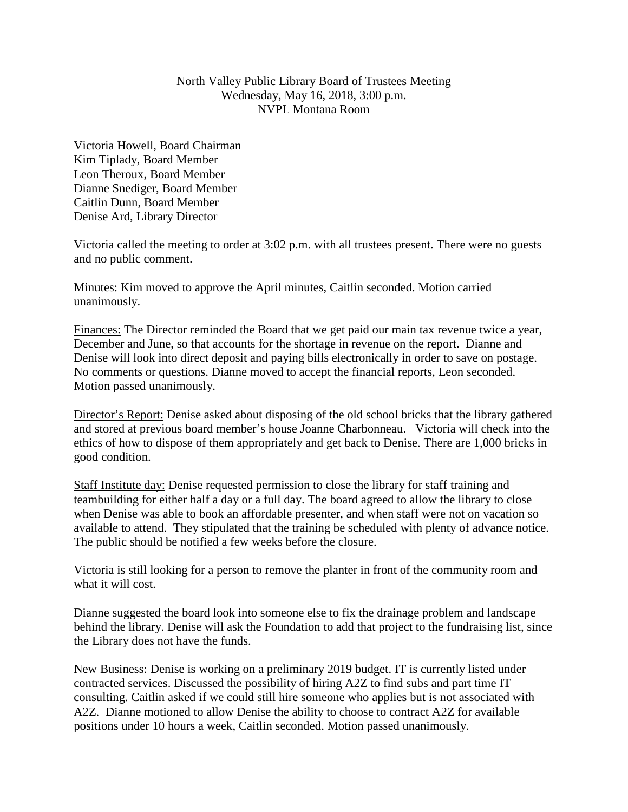## North Valley Public Library Board of Trustees Meeting Wednesday, May 16, 2018, 3:00 p.m. NVPL Montana Room

Victoria Howell, Board Chairman Kim Tiplady, Board Member Leon Theroux, Board Member Dianne Snediger, Board Member Caitlin Dunn, Board Member Denise Ard, Library Director

Victoria called the meeting to order at 3:02 p.m. with all trustees present. There were no guests and no public comment.

Minutes: Kim moved to approve the April minutes, Caitlin seconded. Motion carried unanimously.

Finances: The Director reminded the Board that we get paid our main tax revenue twice a year, December and June, so that accounts for the shortage in revenue on the report. Dianne and Denise will look into direct deposit and paying bills electronically in order to save on postage. No comments or questions. Dianne moved to accept the financial reports, Leon seconded. Motion passed unanimously.

Director's Report: Denise asked about disposing of the old school bricks that the library gathered and stored at previous board member's house Joanne Charbonneau. Victoria will check into the ethics of how to dispose of them appropriately and get back to Denise. There are 1,000 bricks in good condition.

Staff Institute day: Denise requested permission to close the library for staff training and teambuilding for either half a day or a full day. The board agreed to allow the library to close when Denise was able to book an affordable presenter, and when staff were not on vacation so available to attend. They stipulated that the training be scheduled with plenty of advance notice. The public should be notified a few weeks before the closure.

Victoria is still looking for a person to remove the planter in front of the community room and what it will cost.

Dianne suggested the board look into someone else to fix the drainage problem and landscape behind the library. Denise will ask the Foundation to add that project to the fundraising list, since the Library does not have the funds.

New Business: Denise is working on a preliminary 2019 budget. IT is currently listed under contracted services. Discussed the possibility of hiring A2Z to find subs and part time IT consulting. Caitlin asked if we could still hire someone who applies but is not associated with A2Z. Dianne motioned to allow Denise the ability to choose to contract A2Z for available positions under 10 hours a week, Caitlin seconded. Motion passed unanimously.